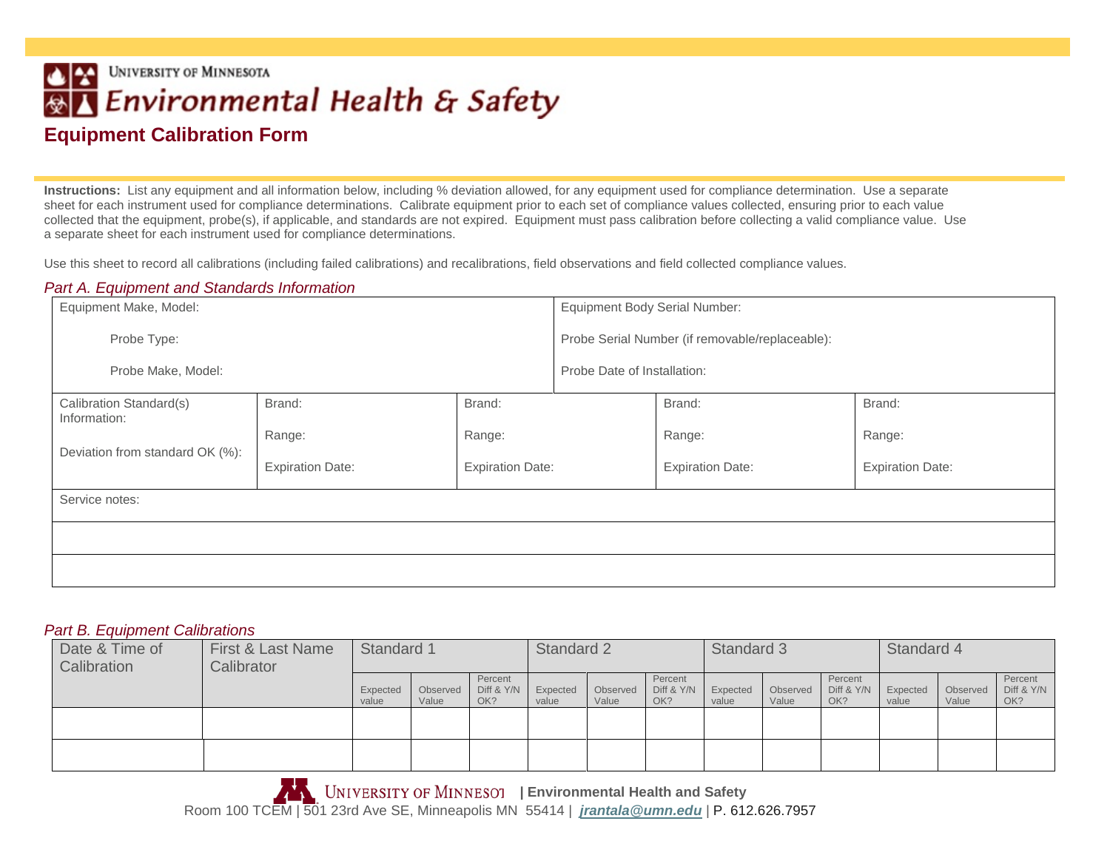## **UNIVERSITY OF MINNESOTA**  $| \cdot |$ <u>स्त्रा</u> Environmental Health & Safety **Equipment Calibration Form**

**Instructions:** List any equipment and all information below, including % deviation allowed, for any equipment used for compliance determination. Use a separate sheet for each instrument used for compliance determinations. Calibrate equipment prior to each set of compliance values collected, ensuring prior to each value collected that the equipment, probe(s), if applicable, and standards are not expired. Equipment must pass calibration before collecting a valid compliance value. Use a separate sheet for each instrument used for compliance determinations.

Use this sheet to record all calibrations (including failed calibrations) and recalibrations, field observations and field collected compliance values.

## *Part A. Equipment and Standards Information*

| Equipment Make, Model:                  |                         |                         | <b>Equipment Body Serial Number:</b>            |                         |                         |  |  |  |  |  |
|-----------------------------------------|-------------------------|-------------------------|-------------------------------------------------|-------------------------|-------------------------|--|--|--|--|--|
| Probe Type:                             |                         |                         | Probe Serial Number (if removable/replaceable): |                         |                         |  |  |  |  |  |
| Probe Make, Model:                      |                         |                         | Probe Date of Installation:                     |                         |                         |  |  |  |  |  |
| Calibration Standard(s)<br>Information: | Brand:                  | Brand:                  |                                                 | Brand:                  | Brand:                  |  |  |  |  |  |
|                                         | Range:                  | Range:                  |                                                 | Range:                  | Range:                  |  |  |  |  |  |
| Deviation from standard OK (%):         | <b>Expiration Date:</b> | <b>Expiration Date:</b> |                                                 | <b>Expiration Date:</b> | <b>Expiration Date:</b> |  |  |  |  |  |
| Service notes:                          |                         |                         |                                                 |                         |                         |  |  |  |  |  |
|                                         |                         |                         |                                                 |                         |                         |  |  |  |  |  |
|                                         |                         |                         |                                                 |                         |                         |  |  |  |  |  |

## *Part B. Equipment Calibrations*

| Date & Time of<br>Calibration | First & Last Name<br>Calibrator | Standard 1        |                   |                              | Standard 2        |                   |                              | Standard 3        |                   |                              | Standard 4        |                   |                              |
|-------------------------------|---------------------------------|-------------------|-------------------|------------------------------|-------------------|-------------------|------------------------------|-------------------|-------------------|------------------------------|-------------------|-------------------|------------------------------|
|                               |                                 | Expected<br>value | Observed<br>Value | Percent<br>Diff & Y/N<br>OK? | Expected<br>value | Observed<br>Value | Percent<br>Diff & Y/N<br>OK? | Expected<br>value | Observed<br>Value | Percent<br>Diff & Y/N<br>OK? | Expected<br>value | Observed<br>Value | Percent<br>Diff & Y/N<br>OK? |
|                               |                                 |                   |                   |                              |                   |                   |                              |                   |                   |                              |                   |                   |                              |
|                               |                                 |                   |                   |                              |                   |                   |                              |                   |                   |                              |                   |                   |                              |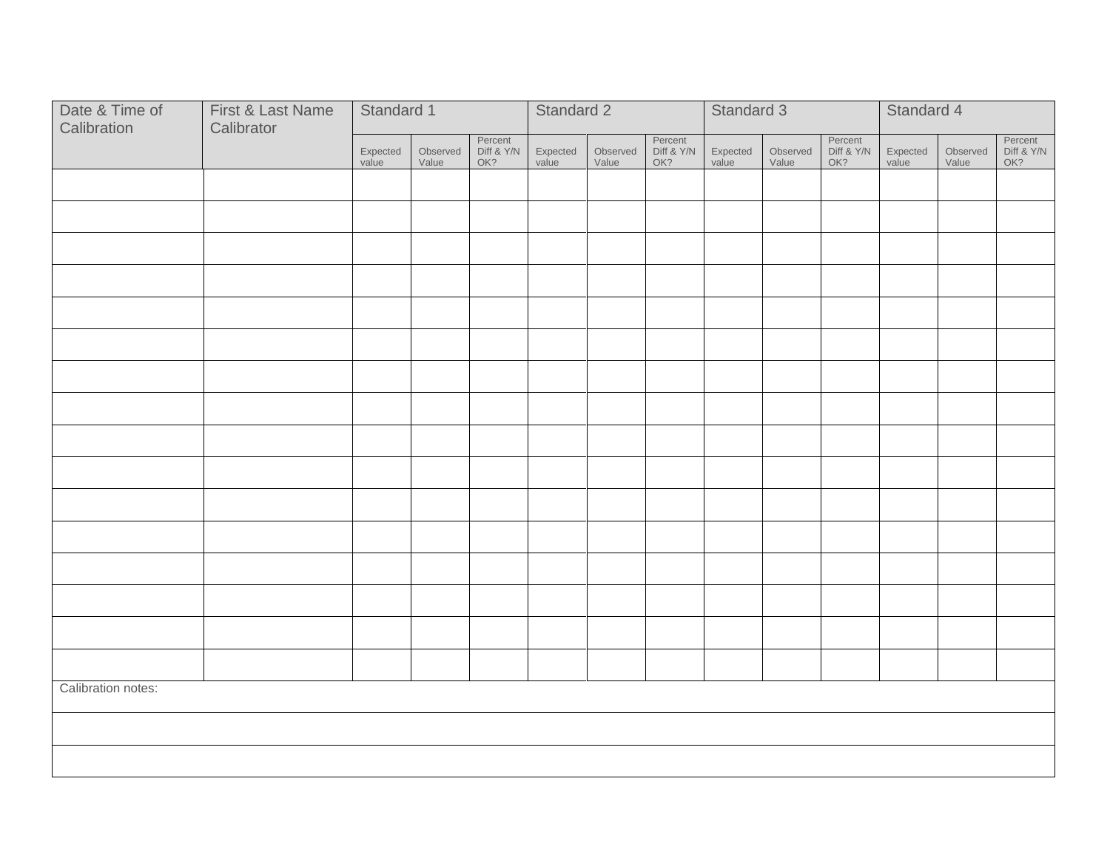| Date & Time of<br>Calibration | Standard 1 |                   |                   | Standard 2                   |                   |                   | Standard 3                   |                   |                   | Standard 4                   |                   |                   |                              |
|-------------------------------|------------|-------------------|-------------------|------------------------------|-------------------|-------------------|------------------------------|-------------------|-------------------|------------------------------|-------------------|-------------------|------------------------------|
|                               | Calibrator | Expected<br>value | Observed<br>Value | Percent<br>Diff & Y/N<br>OK? | Expected<br>value | Observed<br>Value | Percent<br>Diff & Y/N<br>OK? | Expected<br>value | Observed<br>Value | Percent<br>Diff & Y/N<br>OK? | Expected<br>value | Observed<br>Value | Percent<br>Diff & Y/N<br>OK? |
|                               |            |                   |                   |                              |                   |                   |                              |                   |                   |                              |                   |                   |                              |
|                               |            |                   |                   |                              |                   |                   |                              |                   |                   |                              |                   |                   |                              |
|                               |            |                   |                   |                              |                   |                   |                              |                   |                   |                              |                   |                   |                              |
|                               |            |                   |                   |                              |                   |                   |                              |                   |                   |                              |                   |                   |                              |
|                               |            |                   |                   |                              |                   |                   |                              |                   |                   |                              |                   |                   |                              |
|                               |            |                   |                   |                              |                   |                   |                              |                   |                   |                              |                   |                   |                              |
|                               |            |                   |                   |                              |                   |                   |                              |                   |                   |                              |                   |                   |                              |
|                               |            |                   |                   |                              |                   |                   |                              |                   |                   |                              |                   |                   |                              |
|                               |            |                   |                   |                              |                   |                   |                              |                   |                   |                              |                   |                   |                              |
|                               |            |                   |                   |                              |                   |                   |                              |                   |                   |                              |                   |                   |                              |
|                               |            |                   |                   |                              |                   |                   |                              |                   |                   |                              |                   |                   |                              |
|                               |            |                   |                   |                              |                   |                   |                              |                   |                   |                              |                   |                   |                              |
|                               |            |                   |                   |                              |                   |                   |                              |                   |                   |                              |                   |                   |                              |
|                               |            |                   |                   |                              |                   |                   |                              |                   |                   |                              |                   |                   |                              |
|                               |            |                   |                   |                              |                   |                   |                              |                   |                   |                              |                   |                   |                              |
|                               |            |                   |                   |                              |                   |                   |                              |                   |                   |                              |                   |                   |                              |
| Calibration notes:            |            |                   |                   |                              |                   |                   |                              |                   |                   |                              |                   |                   |                              |
|                               |            |                   |                   |                              |                   |                   |                              |                   |                   |                              |                   |                   |                              |
|                               |            |                   |                   |                              |                   |                   |                              |                   |                   |                              |                   |                   |                              |